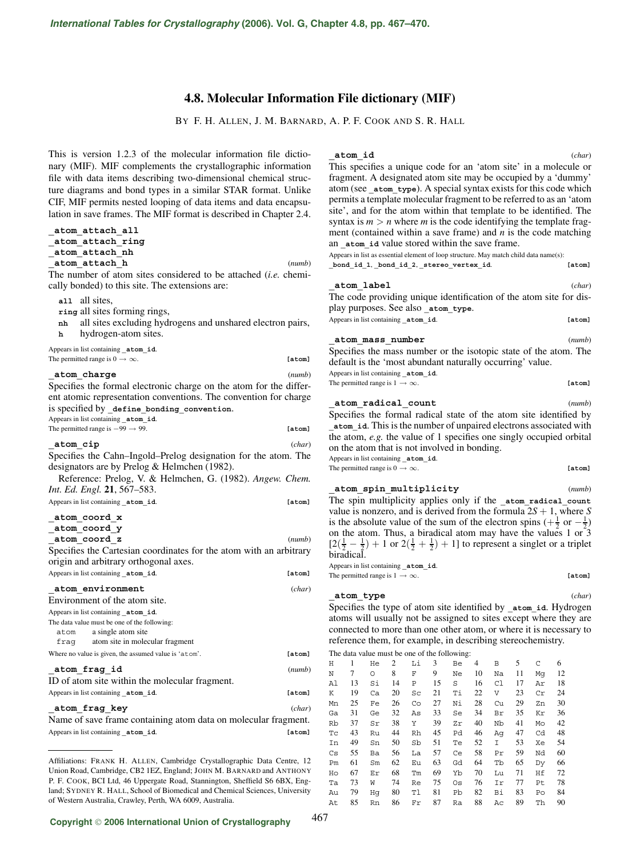# **4.8. Molecular Information File dictionary (MIF)**

BY F. H. ALLEN, J. M. BARNARD, A. P. F. COOK AND S. R. HALL

This is version 1.2.3 of the molecular information file dictionary (MIF). MIF complements the crystallographic information file with data items describing two-dimensional chemical structure diagrams and bond types in a similar STAR format. Unlike CIF, MIF permits nested looping of data items and data encapsulation in save frames. The MIF format is described in Chapter 2.4.

# **\_atom\_attach\_all**

**\_atom\_attach\_ring**

# **\_atom\_attach\_nh**

**\_atom\_attach\_h** (*numb*)

The number of atom sites considered to be attached (*i.e.* chemically bonded) to this site. The extensions are:

**all** all sites,

**ring** all sites forming rings,

**nh** all sites excluding hydrogens and unshared electron pairs,

**h** hydrogen-atom sites.

Appears in list containing **\_atom\_id**. The permitted range is  $0 \to \infty$ . **[atom]** 

#### **\_atom\_charge** (*numb*)

Specifies the formal electronic charge on the atom for the different atomic representation conventions. The convention for charge is specified by define bonding\_convention. Appears in list containing **\_atom\_id**.

The permitted range is −99 → 99. **[atom]**

#### **\_atom\_cip** (*char*)

Specifies the Cahn–Ingold–Prelog designation for the atom. The designators are by Prelog & Helmchen (1982).

Reference: Prelog, V. & Helmchen, G. (1982). *Angew. Chem. Int. Ed. Engl.* **21**, 567–583.

Appears in list containing **\_atom\_id**. **[atom]**

# **\_atom\_coord\_x**

**\_atom\_coord\_y \_atom\_coord\_z** (*numb*) Specifies the Cartesian coordinates for the atom with an arbitrary origin and arbitrary orthogonal axes.

| Appears in list containing atom id.                            | [atom] |
|----------------------------------------------------------------|--------|
| atom environment                                               | (char) |
| Environment of the atom site.                                  |        |
| Appears in list containing atom id.                            |        |
| The data value must be one of the following:                   |        |
| a single atom site<br>atom                                     |        |
| fragment fragment                                              |        |
| Where no value is given, the assumed value is 'atom'.          | [atom] |
| atom frag id                                                   | (numb) |
| ID of atom site within the molecular fragment.                 |        |
| Appears in list containing atom id.                            | [atom] |
| atom frag key                                                  | (char) |
| Name of save frame containing atom data on molecular fragment. |        |

Appears in list containing **\_atom\_id**. **[atom]**

**\_atom\_id** (*char*)

This specifies a unique code for an 'atom site' in a molecule or fragment. A designated atom site may be occupied by a 'dummy' atom (see **atom** type). A special syntax exists for this code which permits a template molecular fragment to be referred to as an 'atom site', and for the atom within that template to be identified. The syntax is  $m > n$  where *m* is the code identifying the template fragment (contained within a save frame) and *n* is the code matching an **atom** id value stored within the save frame.

Appears in list as essential element of loop structure. May match child data name(s): **\_bond\_id\_1**, **\_bond\_id\_2**, **\_stereo\_vertex\_id**. **[atom]**

#### **\_atom\_label** (*char*)

The code providing unique identification of the atom site for display purposes. See also **\_atom\_type**. Appears in list containing **\_atom\_id**. **[atom]**

#### **\_atom\_mass\_number** (*numb*)

Specifies the mass number or the isotopic state of the atom. The default is the 'most abundant naturally occurring' value. Appears in list containing **\_atom\_id**. The permitted range is  $1 \rightarrow \infty$ . **[atom]** 

**\_atom\_radical\_count** (*numb*) Specifies the formal radical state of the atom site identified by **\_atom\_id**. This is the number of unpaired electrons associated with the atom, *e.g.* the value of 1 specifies one singly occupied orbital on the atom that is not involved in bonding. Appears in list containing **\_atom\_id**.

The permitted range is  $0 \to \infty$ . **[atom]** 

**\_atom\_spin\_multiplicity** (*numb*) The spin multiplicity applies only if the **\_atom\_radical\_count** value is nonzero, and is derived from the formula  $2S + 1$ , where *S* is the absolute value of the sum of the electron spins  $\left(+\frac{1}{2} \text{ or } -\frac{1}{2}\right)$ on the atom. Thus, a biradical atom may have the values 1 or 3  $[2(\frac{1}{2}-\frac{1}{2})+1$  or  $2(\frac{1}{2}+\frac{1}{2})+1]$  to represent a singlet or a triplet biradical.

Appears in list containing **\_atom\_id**. The permitted range is  $1 \rightarrow \infty$ . **[atom]** 

### **\_atom\_type** (*char*)

Specifies the type of atom site identified by **\_atom\_id**. Hydrogen atoms will usually not be assigned to sites except where they are connected to more than one other atom, or where it is necessary to reference them, for example, in describing stereochemistry.

The data value must be one of the following:

| Η                      | 1  | He | 2  | Li | 3  | Вe | 4  | В  | 5  | C  | 6  |
|------------------------|----|----|----|----|----|----|----|----|----|----|----|
| $\mathbf N$            | 7  | O  | 8  | F  | 9  | Ne | 10 | Na | 11 | Mq | 12 |
| Al                     | 13 | Si | 14 | Ρ  | 15 | S  | 16 | C1 | 17 | Αr | 18 |
| Κ                      | 19 | Ca | 20 | Sc | 21 | Τi | 22 | V  | 23 | Cr | 24 |
| Mn                     | 25 | Fe | 26 | Co | 27 | Νi | 28 | Cu | 29 | Zn | 30 |
| Ga                     | 31 | Ge | 32 | As | 33 | Se | 34 | Βr | 35 | Κr | 36 |
| Rb                     | 37 | Sr | 38 | Υ  | 39 | Zr | 40 | Nb | 41 | Mo | 42 |
| Tс                     | 43 | Ru | 44 | Rh | 45 | Pd | 46 | Aq | 47 | Cd | 48 |
| In                     | 49 | Sn | 50 | Sb | 51 | Te | 52 | Ι  | 53 | Хe | 54 |
| $\mathbb{C}\mathbf{s}$ | 55 | Ba | 56 | La | 57 | Ce | 58 | Pr | 59 | Nd | 60 |
| Pm                     | 61 | Sm | 62 | Eu | 63 | Gd | 64 | Tb | 65 | Dy | 66 |
| Ho                     | 67 | Εr | 68 | Тm | 69 | Yb | 70 | Lu | 71 | Ηf | 72 |
| Тa                     | 73 | W  | 74 | Re | 75 | Os | 76 | Ιr | 77 | Pt | 78 |
| Au                     | 79 | Hq | 80 | Tl | 81 | Pb | 82 | Вi | 83 | Po | 84 |
| At                     | 85 | Rn | 86 | Fr | 87 | Ra | 88 | Aс | 89 | Th | 90 |

Affiliations: FRANK H. ALLEN, Cambridge Crystallographic Data Centre, 12 Union Road, Cambridge, CB2 1EZ, England; JOHN M. BARNARD and ANTHONY P. F. COOK, BCI Ltd, 46 Uppergate Road, Stannington, Sheffield S6 6BX, England; SYDNEY R. HALL, School of Biomedical and Chemical Sciences, University of Western Australia, Crawley, Perth, WA 6009, Australia.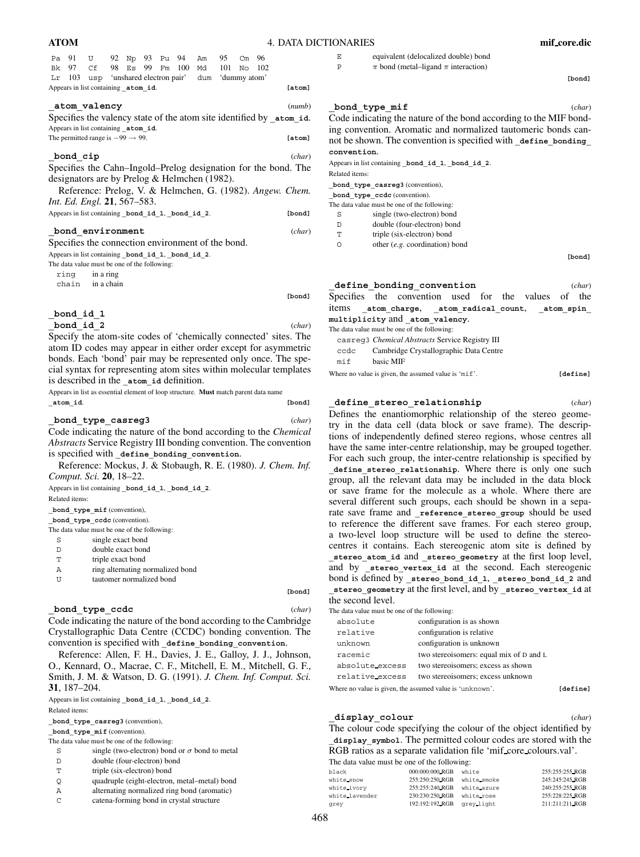| ATOM | <b>4. DATA DICTIONARIES</b> | mif_core.dic |  |
|------|-----------------------------|--------------|--|
|      |                             |              |  |

| Pa |          | 91 U 92 Np 93 Pu 94                              |  |  |                 | Am                                            | 95  | $\rm cm$ | 96       |                                                                     |
|----|----------|--------------------------------------------------|--|--|-----------------|-----------------------------------------------|-----|----------|----------|---------------------------------------------------------------------|
| Bk |          | 97 Cf                                            |  |  | 98 Es 99 Fm 100 | Md                                            | 101 |          | $No$ 102 |                                                                     |
| Lr | 103      |                                                  |  |  |                 | usp 'unshared electron pair' dum 'dummy atom' |     |          |          |                                                                     |
|    |          | Appears in list containing _atom_id.             |  |  |                 |                                               |     |          |          | [atom]                                                              |
|    |          | atom valency                                     |  |  |                 |                                               |     |          |          | (numb)                                                              |
|    |          |                                                  |  |  |                 |                                               |     |          |          | Specifies the valency state of the atom site identified by atom id. |
|    |          | Appears in list containing atom id.              |  |  |                 |                                               |     |          |          |                                                                     |
|    |          | The permitted range is $-99 \rightarrow 99$ .    |  |  |                 |                                               |     |          |          | [atom]                                                              |
|    |          |                                                  |  |  |                 |                                               |     |          |          |                                                                     |
|    | bond cip |                                                  |  |  |                 |                                               |     |          |          | (char)                                                              |
|    |          |                                                  |  |  |                 |                                               |     |          |          | Specifies the Cahn–Ingold–Prelog designation for the bond. The      |
|    |          | designators are by Prelog & Helmchen (1982).     |  |  |                 |                                               |     |          |          |                                                                     |
|    |          |                                                  |  |  |                 |                                               |     |          |          |                                                                     |
|    |          |                                                  |  |  |                 |                                               |     |          |          | Reference: Prelog, V. & Helmchen, G. (1982). Angew. Chem.           |
|    |          | <i>Int. Ed. Engl.</i> 21, 567–583.               |  |  |                 |                                               |     |          |          |                                                                     |
|    |          | Appears in list containing bond id 1, bond id 2. |  |  |                 |                                               |     |          |          | [bond]                                                              |
|    |          |                                                  |  |  |                 |                                               |     |          |          |                                                                     |
|    |          |                                                  |  |  |                 |                                               |     |          |          |                                                                     |

## **\_bond\_environment** (*char*)

Specifies the connection environment of the bond.

Appears in list containing **\_bond\_id\_1**, **\_bond\_id\_2**.

The data value must be one of the following: ring in a ring chain in a chain

**[bond]**

## **\_bond\_id\_1**

**\_bond\_id\_2** (*char*)

Specify the atom-site codes of 'chemically connected' sites. The atom ID codes may appear in either order except for asymmetric bonds. Each 'bond' pair may be represented only once. The special syntax for representing atom sites within molecular templates is described in the **\_atom\_id** definition.

Appears in list as essential element of loop structure. **Must** match parent data name **\_atom\_id**. **[bond]**

#### **\_bond\_type\_casreg3** (*char*)

Code indicating the nature of the bond according to the *Chemical Abstracts* Service Registry III bonding convention. The convention is specified with **\_define\_bonding\_convention**.

Reference: Mockus, J. & Stobaugh, R. E. (1980). *J. Chem. Inf. Comput. Sci.* **20**, 18–22.

Appears in list containing **\_bond\_id\_1**, **\_bond\_id\_2**.

Related items:

**\_bond\_type\_mif** (convention),

**\_bond\_type\_ccdc** (convention).

The data value must be one of the following:

- S single exact bond
- D double exact bond
- T triple exact bond
- A ring alternating normalized bond
- U tautomer normalized bond

**[bond]**

#### **\_bond\_type\_ccdc** (*char*)

Code indicating the nature of the bond according to the Cambridge Crystallographic Data Centre (CCDC) bonding convention. The convention is specified with **\_define\_bonding\_convention**.

Reference: Allen, F. H., Davies, J. E., Galloy, J. J., Johnson, O., Kennard, O., Macrae, C. F., Mitchell, E. M., Mitchell, G. F., Smith, J. M. & Watson, D. G. (1991). *J. Chem. Inf. Comput. Sci.* **31**, 187–204.

Appears in list containing **\_bond\_id\_1**, **\_bond\_id\_2**. Related items:

**\_bond\_type\_casreg3** (convention),

**\_bond\_type\_mif** (convention).

The data value must be one of the following:

- S single (two-electron) bond or  $\sigma$  bond to metal
- D double (four-electron) bond
- T triple (six-electron) bond
- Q quadruple (eight-electron, metal–metal) bond
- A alternating normalized ring bond (aromatic)
- C catena-forming bond in crystal structure

E equivalent (delocalized double) bond

P  $\pi$  bond (metal–ligand  $\pi$  interaction)

**[bond]**

#### **\_bond\_type\_mif** (*char*)

Code indicating the nature of the bond according to the MIF bonding convention. Aromatic and normalized tautomeric bonds cannot be shown. The convention is specified with define bonding **convention**.

Appears in list containing **\_bond\_id\_1**, **\_bond\_id\_2**.

Related items:

**\_bond\_type\_casreg3** (convention),

bond type ccdc (convention).

- The data value must be one of the following:
- S single (two-electron) bond D double (four-electron) bond
- T triple (six-electron) bond
- O other (*e.g.* coordination) bond

**[bond]**

|      | define bonding convention                           | (char) |
|------|-----------------------------------------------------|--------|
|      | Specifies the convention used for the values of the |        |
|      | items atom charge, _atom_radical_count, _atom_spin_ |        |
|      | multiplicity and atom valency.                      |        |
|      | The data value must be one of the following:        |        |
|      | casreg3 Chemical Abstracts Service Registry III     |        |
| ccdc | Cambridge Crystallographic Data Centre              |        |
| mif  | basic MIF                                           |        |
|      |                                                     |        |

Where no value is given, the assumed value is 'mif'. **[define]** 

### **\_define\_stereo\_relationship** (*char*)

Defines the enantiomorphic relationship of the stereo geometry in the data cell (data block or save frame). The descriptions of independently defined stereo regions, whose centres all have the same inter-centre relationship, may be grouped together. For each such group, the inter-centre relationship is specified by **\_define\_stereo\_relationship**. Where there is only one such group, all the relevant data may be included in the data block or save frame for the molecule as a whole. Where there are several different such groups, each should be shown in a separate save frame and **\_reference\_stereo\_group** should be used to reference the different save frames. For each stereo group, a two-level loop structure will be used to define the stereocentres it contains. Each stereogenic atom site is defined by **\_stereo\_atom\_id** and **\_stereo\_geometry** at the first loop level, and by stereo vertex id at the second. Each stereogenic bond is defined by **\_stereo\_bond\_id\_1**, **\_stereo\_bond\_id\_2** and **\_stereo\_geometry** at the first level, and by **\_stereo\_vertex\_id** at the second level.

The data value must be one of the following:

| absolute        | configuration is as shown               |  |
|-----------------|-----------------------------------------|--|
| relative        | configuration is relative.              |  |
| unknown         | configuration is unknown                |  |
| racemic         | two stereoisomers: equal mix of D and L |  |
| absolute_excess | two stereoisomers; excess as shown      |  |
| relative excess | two stereoisomers; excess unknown       |  |
|                 |                                         |  |

Where no value is given, the assumed value is 'unknown'. **[define]** 

#### **\_display\_colour** (*char*)

The colour code specifying the colour of the object identified by **\_display\_symbol**. The permitted colour codes are stored with the RGB ratios as a separate validation file 'mif core colours.val'.

| The data value must be one of the following: |
|----------------------------------------------|
|----------------------------------------------|

| black          | 000:000:000 RGB | white       | 255:255:255 RGB |
|----------------|-----------------|-------------|-----------------|
| white_snow     | 255:250:250_RGB | white_smoke | 245:245:245_RGB |
| white ivory    | 255:255:240 RGB | white azure | 240:255:255_RGB |
| white lavender | 230:230:250 RGB | white rose  | 255:228:225_RGB |
| grey           | 192:192:192 RGB | grey light  | 211:211:211 RGB |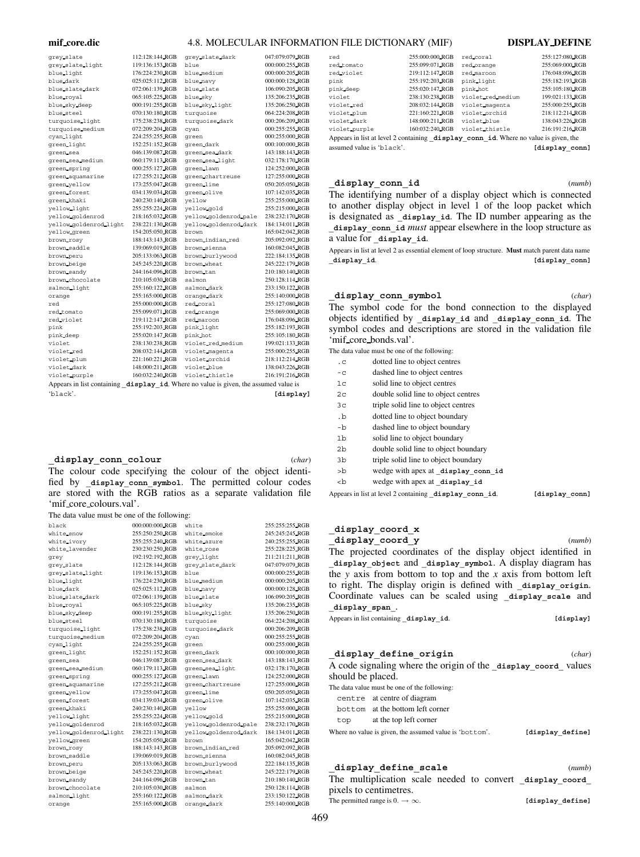#### **mif core.dic** 4.8. MOLECULAR INFORMATION FILE DICTIONARY (MIF) **DISPLAY DEFINE**

| grey_slate                 | 112:128:144 RGB | grey_slate_dark                                           | 047:079:079 RGB |
|----------------------------|-----------------|-----------------------------------------------------------|-----------------|
| grey_slate_light           | 119:136:153 RGB | blue                                                      | 000:000:255_RGB |
| blue light                 | 176:224:230_RGB | blue medium                                               | 000:000:205_RGB |
| blue dark                  | 025:025:112 RGB | blue navy                                                 | 000:000:128 RGB |
| blue slate dark            | 072:061:139 RGB | blue slate                                                | 106:090:205 RGB |
| blue royal                 | 065:105:225 RGB | blue sky                                                  | 135:206:235 RGB |
| blue_sky_deep              | 000:191:255 RGB | blue sky light                                            | 135:206:250 RGB |
| blue_steel                 | 070:130:180 RGB | turquoise                                                 | 064:224:208_RGB |
| turquoise light            | 175:238:238 RGB | turquoise dark                                            | 000:206:209_RGB |
| turquoise medium           | 072:209:204 RGB | cyan                                                      | 000:255:255_RGB |
| cyan light                 | 224:255:255 RGB | green                                                     | 000:255:000 RGB |
| green light                | 152:251:152 RGB | green dark                                                | 000:100:000_RGB |
| green sea                  | 046:139:087 RGB | green sea dark                                            | 143:188:143 RGB |
| green sea medium           | 060:179:113 RGB | green sea light                                           | 032:178:170_RGB |
| green spring               | 000:255:127 RGB | green lawn                                                | 124:252:000_RGB |
| green_aquamarine           | 127:255:212 RGB | green_chartreuse                                          | 127:255:000 RGB |
| green_yellow               | 173:255:047 RGB | green_lime                                                | 050:205:050_RGB |
| green_forest               | 034:139:034 RGB | green.olive                                               | 107:142:035_RGB |
| green khaki                | 240:230:140 RGB | yellow                                                    | 255:255:000 RGB |
| yellow_light               | 255:255:224 RGB | yellow gold                                               | 255:215:000 RGB |
| yellow.goldenrod           | 218:165:032 RGB | yellow goldenrod pale                                     | 238:232:170_RGB |
| yellow_goldenrod_light     | 238:221:130 RGB | yellow_goldenrod_dark                                     | 184:134:011 RGB |
| yellow.green               | 154:205:050 RGB | brown                                                     | 165:042:042 RGB |
| brown_rosy                 | 188:143:143 RGB | brown_indian_red                                          | 205:092:092_RGB |
| brown saddle               | 139:069:019 RGB | brown sienna                                              | 160:082:045 RGB |
| brown peru                 | 205:133:063 RGB | brown_burlywood                                           | 222:184:135_RGB |
| brown beige                | 245:245:220 RGB | brown wheat                                               | 245:222:179 RGB |
| brown sandy                | 244:164:096 RGB | brown_tan                                                 | 210:180:140 RGB |
| brown_chocolate            | 210:105:030 RGB | salmon                                                    | 250:128:114 RGB |
| salmon_light               | 255:160:122 RGB | salmon dark                                               | 233:150:122_RGB |
| orange                     | 255:165:000_RGB | orange_dark                                               | 255:140:000_RGB |
| red                        | 255:000:000 RGB | red coral                                                 | 255:127:080 RGB |
| red tomato                 | 255:099:071 RGB | red orange                                                | 255:069:000_RGB |
| red violet                 | 219:112:147 RGB | red maroon                                                | 176:048:096 RGB |
| pink                       | 255:192:203 RGB | pink light                                                | 255:182:193 RGB |
| pink deep                  | 255:020:147 RGB | pink hot                                                  | 255:105:180 RGB |
| violet                     | 238:130:238 RGB | violet_red_medium                                         | 199:021:133_RGB |
| violet red                 | 208:032:144 RGB | violet magenta                                            | 255:000:255 RGB |
| violet plum                | 221:160:221 RGB | violet_orchid                                             | 218:112:214 RGB |
| violet dark                | 148:000:211 RGB | violet blue                                               | 138:043:226 RGB |
| violet purple              | 160:032:240 RGB | violet_thistle                                            | 216:191:216 RGB |
| Appears in list containing |                 | display id. Where no value is given, the assumed value is |                 |
|                            |                 |                                                           |                 |

'black'. **[display]**

#### **\_display\_conn\_colour** (*char*)

The colour code specifying the colour of the object identified by display conn symbol. The permitted colour codes are stored with the RGB ratios as a separate validation file 'mif\_core\_colours.val'.

The data value must be one of the following:

| black                  | 000:000:000 RGB | white                 | 255:255:255_RGB |
|------------------------|-----------------|-----------------------|-----------------|
| white_snow             | 255:250:250 RGB | white_smoke           | 245:245:245_RGB |
| white_ivory            | 255:255:240 RGB | white azure           | 240:255:255_RGB |
| white lavender         | 230:230:250 RGB | white_rose            | 255:228:225 RGB |
| grey                   | 192:192:192 RGB | grey_light            | 211:211:211 RGB |
| grey_slate             | 112:128:144 RGB | grey slate dark       | 047:079:079 RGB |
| grey_slate_light       | 119:136:153 RGB | blue                  | 000:000:255_RGB |
| blue_light             | 176:224:230 RGB | blue_medium           | 000:000:205 RGB |
| blue dark              | 025:025:112 RGB | blue navy             | 000:000:128 RGB |
| blue_slate_dark        | 072:061:139 RGB | blue slate            | 106:090:205 RGB |
| blue_royal             | 065:105:225 RGB | blue_skv              | 135:206:235 RGB |
| blue sky deep          | 000:191:255_RGB | blue_sky_light        | 135:206:250 RGB |
| blue_steel             | 070:130:180 RGB | turquoise             | 064:224:208 RGB |
| turquoise light        | 175:238:238 RGB | turquoise_dark        | 000:206:209 RGB |
| turquoise medium       | 072:209:204 RGB | cyan                  | 000:255:255 RGB |
| cyan light             | 224:255:255_RGB | green                 | 000:255:000_RGB |
| green light            | 152:251:152_RGB | green dark            | 000:100:000_RGB |
| green sea              | 046:139:087_RGB | green sea dark        | 143:188:143_RGB |
| green sea medium       | 060:179:113 RGB | green sea light       | 032:178:170 RGB |
| green spring           | 000:255:127 RGB | green_lawn            | 124:252:000 RGB |
| green aquamarine       | 127:255:212_RGB | green chartreuse      | 127:255:000_RGB |
| green yellow           | 173:255:047 RGB | green_lime            | 050:205:050 RGB |
| green forest           | 034:139:034 RGB | green olive           | 107:142:035_RGB |
| green khaki            | 240:230:140 RGB | yellow                | 255:255:000_RGB |
| yellow_light           | 255:255:224_RGB | yellow_gold           | 255:215:000_RGB |
| yellow_goldenrod       | 218:165:032 RGB | yellow_goldenrod_pale | 238:232:170 RGB |
| yellow goldenrod light | 238:221:130 RGB | yellow goldenrod dark | 184:134:011 RGB |
| yellow green           | 154:205:050 RGB | brown                 | 165:042:042_RGB |
| brown_rosy             | 188:143:143_RGB | brown_indian_red      | 205:092:092 RGB |
| brown saddle           | 139:069:019 RGB | brown_sienna          | 160:082:045 RGB |
| brown peru             | 205:133:063 RGB | brown burlywood       | 222:184:135_RGB |
| brown beige            | 245:245:220 RGB | brown wheat           | 245:222:179_RGB |
| brown_sandy            | 244:164:096 RGB | brown_tan             | 210:180:140 RGB |
| brown_chocolate        | 210:105:030 RGB | salmon                | 250:128:114 RGB |
| salmon_light           | 255:160:122 RGB | salmon_dark           | 233:150:122 RGB |
| orange                 | 255:165:000 RGB | orange_dark           | 255:140:000 RGB |
|                        |                 |                       |                 |

| red                                                                                 | 255:000:000_RGB | red_coral         | 255:127:080_RGB |  |  |  |
|-------------------------------------------------------------------------------------|-----------------|-------------------|-----------------|--|--|--|
| red tomato                                                                          | 255:099:071 RGB | red_orange        | 255:069:000 RGB |  |  |  |
| red violet                                                                          | 219:112:147 RGB | red maroon        | 176:048:096 RGB |  |  |  |
| pink                                                                                | 255:192:203_RGB | pink light        | 255:182:193_RGB |  |  |  |
| pink deep                                                                           | 255:020:147 RGB | pink hot          | 255:105:180 RGB |  |  |  |
| violet                                                                              | 238:130:238 RGB | violet red medium | 199.021:133 RGB |  |  |  |
| violet red                                                                          | 208:032:144 RGB | violet magenta    | 255:000:255 RGB |  |  |  |
| violet plum                                                                         | 221:160:221_RGB | violet_orchid     | 218:112:214_RGB |  |  |  |
| violet dark                                                                         | 148:000:211 RGB | violet_blue       | 138:043:226 RGB |  |  |  |
| violet purple                                                                       | 160:032:240_RGB | violet_thistle    | 216:191:216 RGB |  |  |  |
| Appears in list at level 2 containing display conn id. Where no value is given, the |                 |                   |                 |  |  |  |
|                                                                                     |                 |                   |                 |  |  |  |

assumed value is 'black'. **[display\_conn]**

# **\_display\_conn\_id** (*numb*)

The identifying number of a display object which is connected to another display object in level 1 of the loop packet which is designated as display id. The ID number appearing as the **\_display\_conn\_id** *must* appear elsewhere in the loop structure as a value for **\_display\_id**.

Appears in list at level 2 as essential element of loop structure. **Must** match parent data name display id. *I lasplay* connecting the connection of  $[$ 

### **\_display\_conn\_symbol** (*char*)

The symbol code for the bond connection to the displayed objects identified by **\_display\_id** and **\_display\_conn\_id**. The symbol codes and descriptions are stored in the validation file 'mif core bonds.val'.

The data value must be one of the following:

| $\cdot c$      | dotted line to object centres                          |                |
|----------------|--------------------------------------------------------|----------------|
| $-c$           | dashed line to object centres                          |                |
| 1 <sup>c</sup> | solid line to object centres                           |                |
| 2 <sub>c</sub> | double solid line to object centres                    |                |
| 3 <sup>c</sup> | triple solid line to object centres                    |                |
| $\cdot$ b      | dotted line to object boundary                         |                |
| $-b$           | dashed line to object boundary                         |                |
| 1 <sub>b</sub> | solid line to object boundary                          |                |
| 2 <sub>b</sub> | double solid line to object boundary                   |                |
| 3b             | triple solid line to object boundary                   |                |
| >b             | wedge with apex at display conn id                     |                |
| $ch$           | wedge with apex at display id                          |                |
|                | Appears in list at level 2 containing display conn id. | [display conn] |

# **\_display\_coord\_x**

**\_display\_coord\_y** (*numb*) The projected coordinates of the display object identified in **\_display\_object** and **\_display\_symbol**. A display diagram has the *y* axis from bottom to top and the *x* axis from bottom left to right. The display origin is defined with display origin. Coordinate values can be scaled using **\_display\_scale** and **\_display\_span\_**.

| Appears in list containing _display_id. |  |  | [display] |
|-----------------------------------------|--|--|-----------|
|-----------------------------------------|--|--|-----------|

| display define origin |                                                               | (char) |
|-----------------------|---------------------------------------------------------------|--------|
|                       | A code signaling where the origin of the display coord values |        |
| should be placed.     |                                                               |        |

The data value must be one of the following:

- centre at centre of diagram
- bottom at the bottom left corner

top at the top left corner

Where no value is given, the assumed value is 'bottom'. [display define]

## **\_display\_define\_scale** (*numb*) The multiplication scale needed to convert display coord pixels to centimetres.

 $\begin{aligned} \text{The permitted range is } 0. & \rightarrow \infty. \end{aligned} \qquad \qquad \begin{aligned} \text{[displayedisplay\_define]} \end{aligned}$